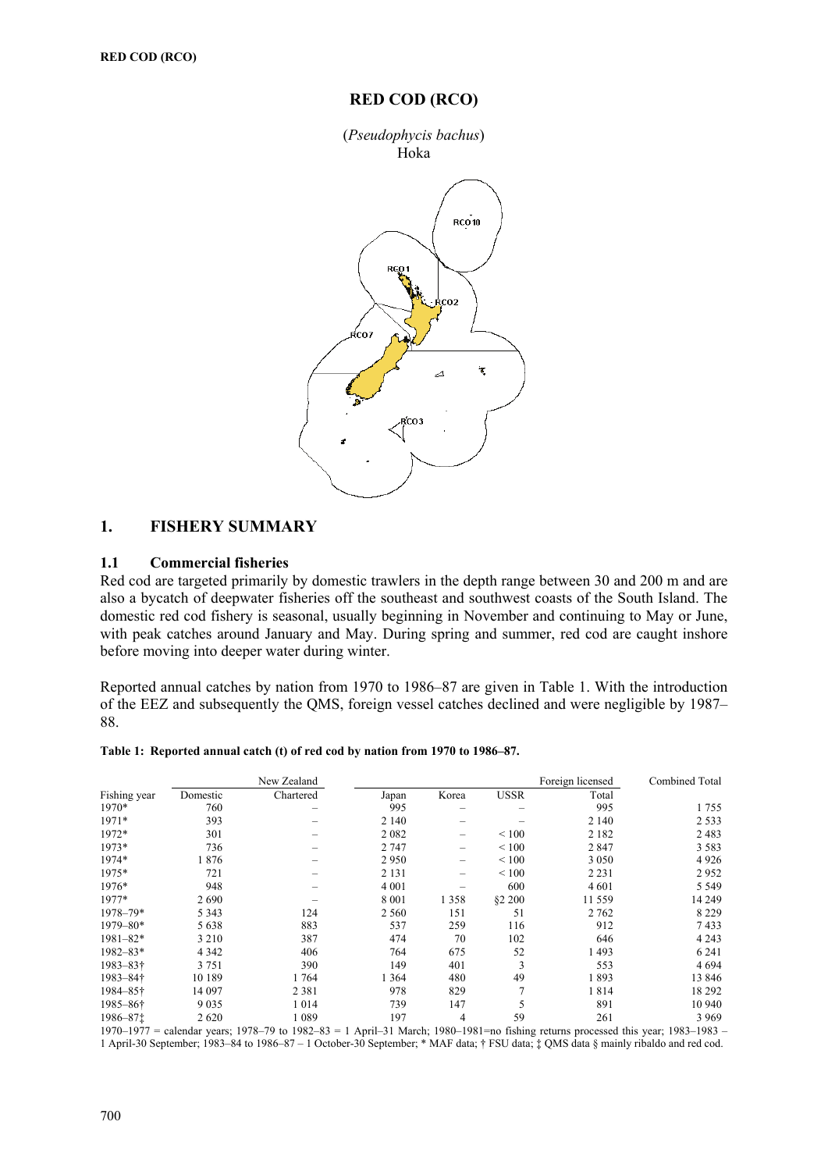## **RED COD (RCO)**



## **1. FISHERY SUMMARY**

### **1.1 Commercial fisheries**

Red cod are targeted primarily by domestic trawlers in the depth range between 30 and 200 m and are also a bycatch of deepwater fisheries off the southeast and southwest coasts of the South Island. The domestic red cod fishery is seasonal, usually beginning in November and continuing to May or June, with peak catches around January and May. During spring and summer, red cod are caught inshore before moving into deeper water during winter.

Reported annual catches by nation from 1970 to 1986–87 are given in Table 1. With the introduction of the EEZ and subsequently the QMS, foreign vessel catches declined and were negligible by 1987– 88.

| Table 1: Reported annual catch (t) of red cod by nation from 1970 to 1986–87. |  |  |  |  |  |  |
|-------------------------------------------------------------------------------|--|--|--|--|--|--|
|                                                                               |  |  |  |  |  |  |

|              |          | New Zealand |         |         |                 | Foreign licensed | Combined Total |
|--------------|----------|-------------|---------|---------|-----------------|------------------|----------------|
| Fishing year | Domestic | Chartered   | Japan   | Korea   | <b>USSR</b>     | Total            |                |
| 1970*        | 760      |             | 995     | -       |                 | 995              | 1755           |
| $1971*$      | 393      |             | 2 1 4 0 |         |                 | 2 140            | 2 5 3 3        |
| 1972*        | 301      |             | 2082    | -       | ${}_{\leq 100}$ | 2 1 8 2          | 2483           |
| 1973*        | 736      |             | 2 747   | -       | ${}_{\leq 100}$ | 2847             | 3 5 8 3        |
| 1974*        | 1876     |             | 2950    | -       | ${}_{< 100}$    | 3 0 5 0          | 4 9 2 6        |
| 1975*        | 721      |             | 2 1 3 1 | -       | ${}_{< 100}$    | 2 2 3 1          | 2952           |
| 1976*        | 948      |             | 4 0 0 1 |         | 600             | 4 601            | 5 5 4 9        |
| 1977*        | 2690     |             | 8 0 0 1 | 1 3 5 8 | <b>§2 200</b>   | 11 559           | 14 249         |
| $1978 - 79*$ | 5 3 4 3  | 124         | 2 5 6 0 | 151     | 51              | 2 7 6 2          | 8 2 2 9        |
| $1979 - 80*$ | 5 6 3 8  | 883         | 537     | 259     | 116             | 912              | 7433           |
| $1981 - 82*$ | 3 2 1 0  | 387         | 474     | 70      | 102             | 646              | 4 2 4 3        |
| $1982 - 83*$ | 4 3 4 2  | 406         | 764     | 675     | 52              | 1493             | 6 2 4 1        |
| 1983-83†     | 3 7 5 1  | 390         | 149     | 401     | 3               | 553              | 4694           |
| 1983-84†     | 10 189   | 1764        | 1 364   | 480     | 49              | 1893             | 13 846         |
| 1984–85†     | 14 097   | 2 3 8 1     | 978     | 829     | $\overline{7}$  | 1814             | 18 29 2        |
| 1985-86†     | 9035     | 1014        | 739     | 147     | 5               | 891              | 10 940         |
| 1986-871     | 2620     | 1 0 8 9     | 197     | 4       | 59              | 261              | 3 9 6 9        |

1970–1977 = calendar years; 1978–79 to 1982–83 = 1 April–31 March; 1980–1981=no fishing returns processed this year; 1983–1983 – 1 April-30 September; 1983–84 to 1986–87 – 1 October-30 September; \* MAF data; † FSU data; ‡ QMS data § mainly ribaldo and red cod.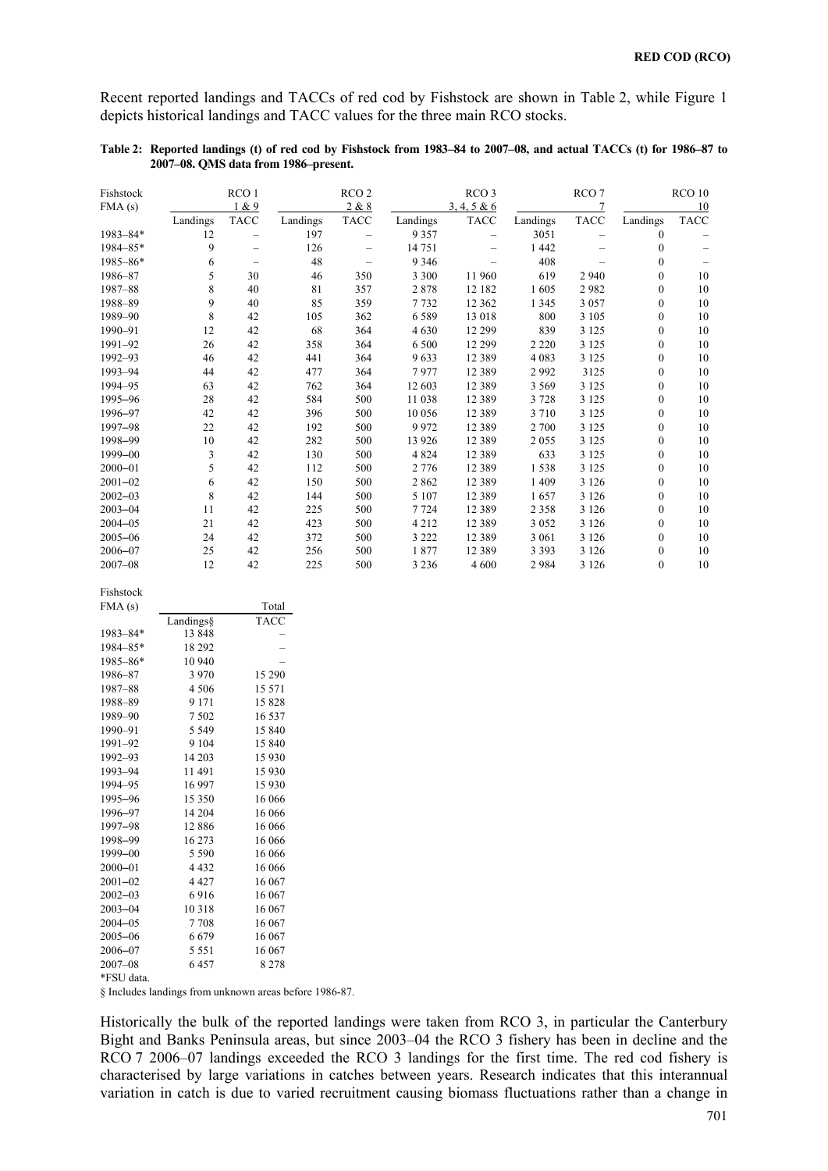Recent reported landings and TACCs of red cod by Fishstock are shown in Table 2, while Figure 1 depicts historical landings and TACC values for the three main RCO stocks.

| Table 2: Reported landings (t) of red cod by Fishstock from 1983–84 to 2007–08, and actual TACCs (t) for 1986–87 to |  |
|---------------------------------------------------------------------------------------------------------------------|--|
| 2007–08. QMS data from 1986–present.                                                                                |  |

| Fishstock    |          | RCO <sub>1</sub>         |          | RCO <sub>2</sub> |          | RCO <sub>3</sub> |          | RCO <sub>7</sub> |                  | RCO 10      |
|--------------|----------|--------------------------|----------|------------------|----------|------------------|----------|------------------|------------------|-------------|
| FMA(s)       |          | 1 & 9                    |          | 2 & 8            |          | 3, 4, 5 & 6      |          |                  |                  | 10          |
|              | Landings | <b>TACC</b>              | Landings | <b>TACC</b>      | Landings | <b>TACC</b>      | Landings | <b>TACC</b>      | Landings         | <b>TACC</b> |
| $1983 - 84*$ | 12       | —                        | 197      | —                | 9 3 5 7  |                  | 3051     |                  | $\bf{0}$         |             |
| 1984-85*     | 9        |                          | 126      |                  | 14 751   |                  | 1 4 4 2  |                  | $\bf{0}$         |             |
| $1985 - 86*$ | 6        | $\overline{\phantom{0}}$ | 48       |                  | 9 3 4 6  |                  | 408      |                  | $\boldsymbol{0}$ |             |
| 1986-87      | 5        | 30                       | 46       | 350              | 3 3 0 0  | 11 960           | 619      | 2 9 4 0          | $\boldsymbol{0}$ | 10          |
| 1987-88      | 8        | 40                       | 81       | 357              | 2878     | 12 182           | 1605     | 2982             | $\mathbf{0}$     | 10          |
| 1988-89      | 9        | 40                       | 85       | 359              | 7732     | 12 3 6 2         | 1 3 4 5  | 3 0 5 7          | $\boldsymbol{0}$ | 10          |
| 1989-90      | 8        | 42                       | 105      | 362              | 6589     | 13 018           | 800      | 3 1 0 5          | $\bf{0}$         | 10          |
| 1990-91      | 12       | 42                       | 68       | 364              | 4630     | 12 299           | 839      | 3 1 2 5          | $\boldsymbol{0}$ | 10          |
| 1991-92      | 26       | 42                       | 358      | 364              | 6 500    | 12 299           | 2 2 2 0  | 3 1 2 5          | $\boldsymbol{0}$ | 10          |
| 1992-93      | 46       | 42                       | 441      | 364              | 9633     | 12 3 8 9         | 4 0 8 3  | 3 1 2 5          | $\boldsymbol{0}$ | 10          |
| 1993-94      | 44       | 42                       | 477      | 364              | 7977     | 12 3 8 9         | 2992     | 3125             | $\theta$         | 10          |
| 1994-95      | 63       | 42                       | 762      | 364              | 12 603   | 12 3 8 9         | 3 5 6 9  | 3 1 2 5          | $\boldsymbol{0}$ | 10          |
| 1995-96      | 28       | 42                       | 584      | 500              | 11 038   | 12 3 8 9         | 3728     | 3 1 2 5          | $\mathbf{0}$     | 10          |
| 1996-97      | 42       | 42                       | 396      | 500              | 10 056   | 12 3 8 9         | 3710     | 3 1 2 5          | $\theta$         | 10          |
| 1997-98      | 22       | 42                       | 192      | 500              | 9972     | 12 3 8 9         | 2 700    | 3 1 2 5          | $\boldsymbol{0}$ | 10          |
| 1998-99      | 10       | 42                       | 282      | 500              | 13 9 26  | 12 3 8 9         | 2055     | 3 1 2 5          | $\boldsymbol{0}$ | 10          |
| 1999-00      | 3        | 42                       | 130      | 500              | 4 8 2 4  | 12 3 8 9         | 633      | 3 1 2 5          | $\theta$         | 10          |
| $2000 - 01$  | 5        | 42                       | 112      | 500              | 2 7 7 6  | 12 3 8 9         | 1538     | 3 1 2 5          | $\boldsymbol{0}$ | 10          |
| $2001 - 02$  | 6        | 42                       | 150      | 500              | 2 8 6 2  | 12 3 8 9         | 1 4 0 9  | 3 1 2 6          | $\boldsymbol{0}$ | 10          |
| $2002 - 03$  | 8        | 42                       | 144      | 500              | 5 107    | 12 3 8 9         | 1657     | 3 1 2 6          | $\boldsymbol{0}$ | 10          |
| $2003 - 04$  | 11       | 42                       | 225      | 500              | 7724     | 12 3 8 9         | 2 3 5 8  | 3 1 2 6          | $\mathbf{0}$     | 10          |
| $2004 - 05$  | 21       | 42                       | 423      | 500              | 4 2 1 2  | 12 3 8 9         | 3 0 5 2  | 3 1 2 6          | $\boldsymbol{0}$ | 10          |
| $2005 - 06$  | 24       | 42                       | 372      | 500              | 3 2 2 2  | 12 3 8 9         | 3 0 6 1  | 3 1 2 6          | $\boldsymbol{0}$ | 10          |
| $2006 - 07$  | 25       | 42                       | 256      | 500              | 1877     | 12 3 8 9         | 3 3 9 3  | 3 1 2 6          | $\boldsymbol{0}$ | 10          |
| $2007 - 08$  | 12       | 42                       | 225      | 500              | 3 2 3 6  | 4 600            | 2984     | 3 1 2 6          | $\boldsymbol{0}$ | 10          |

| Fishstock   |                                                        |             |  |
|-------------|--------------------------------------------------------|-------------|--|
| FMA(s)      |                                                        | Total       |  |
|             | Landings§                                              | <b>TACC</b> |  |
| 1983-84*    | 13848                                                  |             |  |
| 1984-85*    | 18 29 2                                                |             |  |
| 1985-86*    | 10 940                                                 |             |  |
| 1986-87     | 3 9 7 0                                                | 15 290      |  |
| 1987-88     | 4 5 0 6                                                | 15 571      |  |
| 1988-89     | 9 1 7 1                                                | 15828       |  |
| 1989-90     | 7502                                                   | 16 537      |  |
| 1990-91     | 5 5 4 9                                                | 15 840      |  |
| 1991-92     | 9 1 0 4                                                | 15 840      |  |
| 1992-93     | 14 203                                                 | 15 9 30     |  |
| 1993-94     | 11491                                                  | 15 9 30     |  |
| 1994-95     | 16 997                                                 | 15 9 30     |  |
| 1995-96     | 15 350                                                 | 16 066      |  |
| 1996-97     | 14 204                                                 | 16 066      |  |
| 1997-98     | 12886                                                  | 16 066      |  |
| 1998-99     | 16 273                                                 | 16 066      |  |
| 1999-00     | 5 5 9 0                                                | 16 066      |  |
| $2000 - 01$ | 4 4 3 2                                                | 16 066      |  |
| $2001 - 02$ | 4 4 2 7                                                | 16 067      |  |
| $2002 - 03$ | 6916                                                   | 16 067      |  |
| $2003 - 04$ | 10 3 18                                                | 16 067      |  |
| $2004 - 05$ | 7708                                                   | 16 067      |  |
| $2005 - 06$ | 6679                                                   | 16 067      |  |
| 2006-07     | 5 5 5 1                                                | 16 067      |  |
| $2007 - 08$ | 6457                                                   | 8 2 7 8     |  |
| *FSU data.  |                                                        |             |  |
|             | § Includes landings from unknown areas before 1986-87. |             |  |
|             |                                                        |             |  |

Historically the bulk of the reported landings were taken from RCO 3, in particular the Canterbury Bight and Banks Peninsula areas, but since 2003–04 the RCO 3 fishery has been in decline and the RCO 7 2006–07 landings exceeded the RCO 3 landings for the first time. The red cod fishery is characterised by large variations in catches between years. Research indicates that this interannual variation in catch is due to varied recruitment causing biomass fluctuations rather than a change in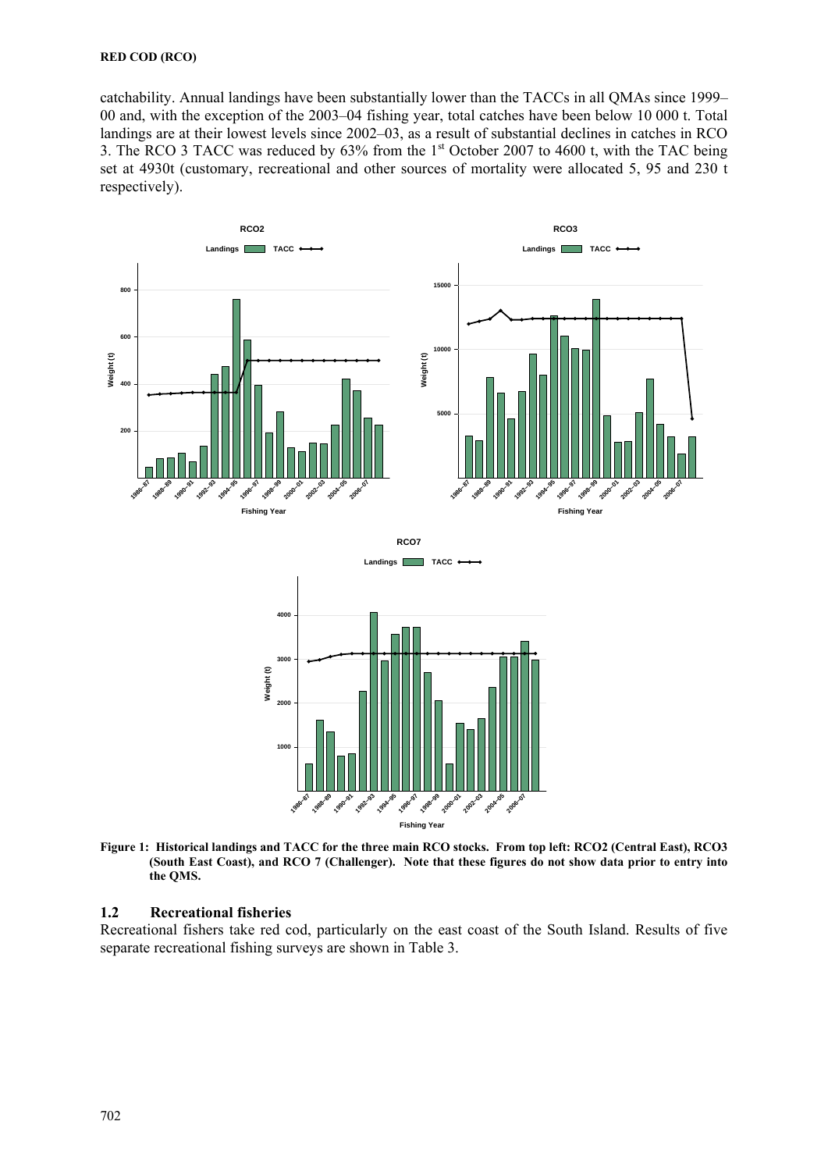### **RED COD (RCO)**

catchability. Annual landings have been substantially lower than the TACCs in all QMAs since 1999– 00 and, with the exception of the 2003–04 fishing year, total catches have been below 10 000 t. Total landings are at their lowest levels since 2002–03, as a result of substantial declines in catches in RCO 3. The RCO 3 TACC was reduced by 63% from the 1st October 2007 to 4600 t, with the TAC being set at 4930t (customary, recreational and other sources of mortality were allocated 5, 95 and 230 t respectively).



**Figure 1: Historical landings and TACC for the three main RCO stocks. From top left: RCO2 (Central East), RCO3 (South East Coast), and RCO 7 (Challenger). Note that these figures do not show data prior to entry into the QMS.** 

## **1.2 Recreational fisheries**

Recreational fishers take red cod, particularly on the east coast of the South Island. Results of five separate recreational fishing surveys are shown in Table 3.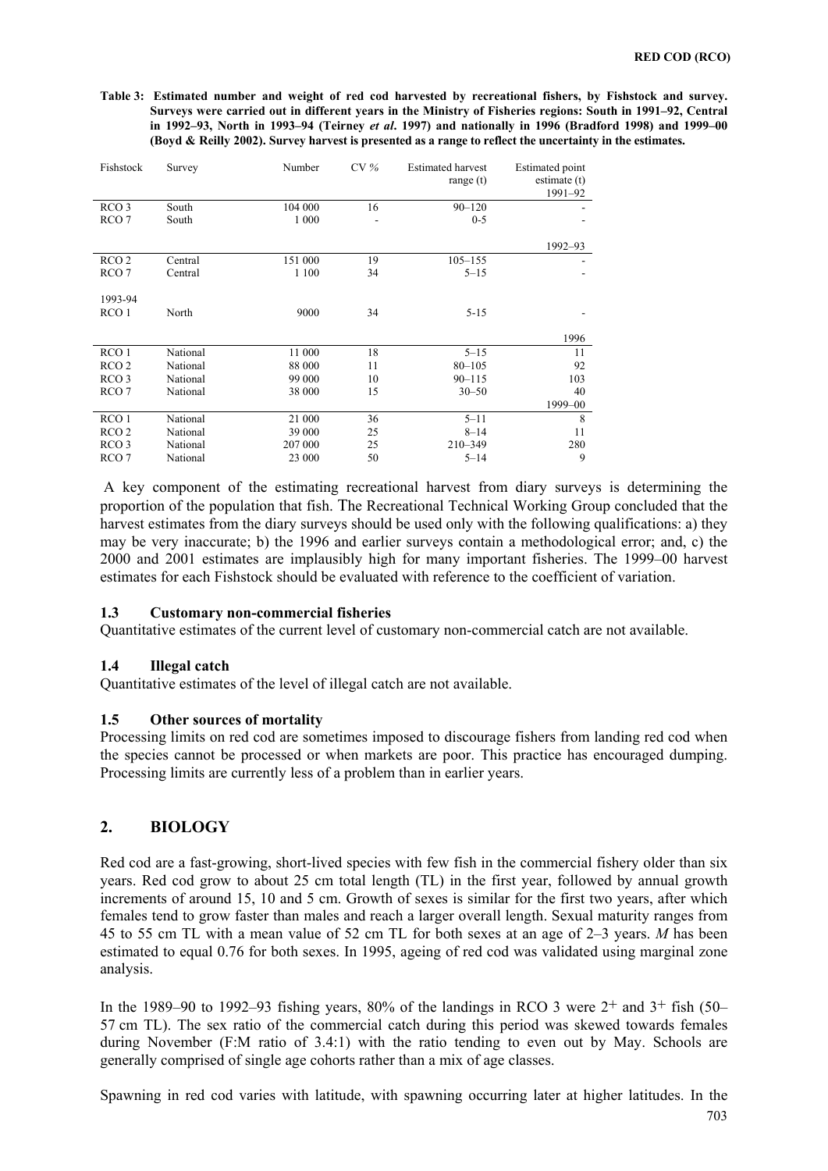**Table 3: Estimated number and weight of red cod harvested by recreational fishers, by Fishstock and survey. Surveys were carried out in different years in the Ministry of Fisheries regions: South in 1991–92, Central in 1992–93, North in 1993–94 (Teirney** *et al***. 1997) and nationally in 1996 (Bradford 1998) and 1999–00 (Boyd & Reilly 2002). Survey harvest is presented as a range to reflect the uncertainty in the estimates.** 

| Fishstock        | Survey   | Number  | CV% | <b>Estimated harvest</b><br>range $(t)$ | <b>Estimated point</b><br>estimate $(t)$<br>1991-92 |
|------------------|----------|---------|-----|-----------------------------------------|-----------------------------------------------------|
| RCO <sub>3</sub> | South    | 104 000 | 16  | $90 - 120$                              |                                                     |
| RCO <sub>7</sub> | South    | 1 000   |     | $0 - 5$                                 |                                                     |
|                  |          |         |     |                                         | 1992-93                                             |
| RCO <sub>2</sub> | Central  | 151 000 | 19  | $105 - 155$                             |                                                     |
| RCO <sub>7</sub> | Central  | 1 100   | 34  | $5 - 15$                                |                                                     |
| 1993-94          |          |         |     |                                         |                                                     |
| RCO <sub>1</sub> | North    | 9000    | 34  | $5 - 15$                                |                                                     |
|                  |          |         |     |                                         | 1996                                                |
| RCO <sub>1</sub> | National | 11 000  | 18  | $5 - 15$                                | 11                                                  |
| RCO <sub>2</sub> | National | 88 000  | 11  | $80 - 105$                              | 92                                                  |
| RCO <sub>3</sub> | National | 99 000  | 10  | $90 - 115$                              | 103                                                 |
| RCO 7            | National | 38 000  | 15  | $30 - 50$                               | 40                                                  |
|                  |          |         |     |                                         | 1999-00                                             |
| RCO <sub>1</sub> | National | 21 000  | 36  | $5 - 11$                                | 8                                                   |
| RCO <sub>2</sub> | National | 39 000  | 25  | $8 - 14$                                | 11                                                  |
| RCO <sub>3</sub> | National | 207 000 | 25  | $210 - 349$                             | 280                                                 |
| RCO <sub>7</sub> | National | 23 000  | 50  | $5 - 14$                                | 9                                                   |

 A key component of the estimating recreational harvest from diary surveys is determining the proportion of the population that fish. The Recreational Technical Working Group concluded that the harvest estimates from the diary surveys should be used only with the following qualifications: a) they may be very inaccurate; b) the 1996 and earlier surveys contain a methodological error; and, c) the 2000 and 2001 estimates are implausibly high for many important fisheries. The 1999–00 harvest estimates for each Fishstock should be evaluated with reference to the coefficient of variation.

## **1.3 Customary non-commercial fisheries**

Quantitative estimates of the current level of customary non-commercial catch are not available.

#### **1.4 Illegal catch**

Quantitative estimates of the level of illegal catch are not available.

## **1.5 Other sources of mortality**

Processing limits on red cod are sometimes imposed to discourage fishers from landing red cod when the species cannot be processed or when markets are poor. This practice has encouraged dumping. Processing limits are currently less of a problem than in earlier years.

## **2. BIOLOGY**

Red cod are a fast-growing, short-lived species with few fish in the commercial fishery older than six years. Red cod grow to about 25 cm total length (TL) in the first year, followed by annual growth increments of around 15, 10 and 5 cm. Growth of sexes is similar for the first two years, after which females tend to grow faster than males and reach a larger overall length. Sexual maturity ranges from 45 to 55 cm TL with a mean value of 52 cm TL for both sexes at an age of 2–3 years. *M* has been estimated to equal 0.76 for both sexes. In 1995, ageing of red cod was validated using marginal zone analysis.

In the 1989–90 to 1992–93 fishing years, 80% of the landings in RCO 3 were  $2^+$  and  $3^+$  fish (50– 57 cm TL). The sex ratio of the commercial catch during this period was skewed towards females during November (F:M ratio of 3.4:1) with the ratio tending to even out by May. Schools are generally comprised of single age cohorts rather than a mix of age classes.

Spawning in red cod varies with latitude, with spawning occurring later at higher latitudes. In the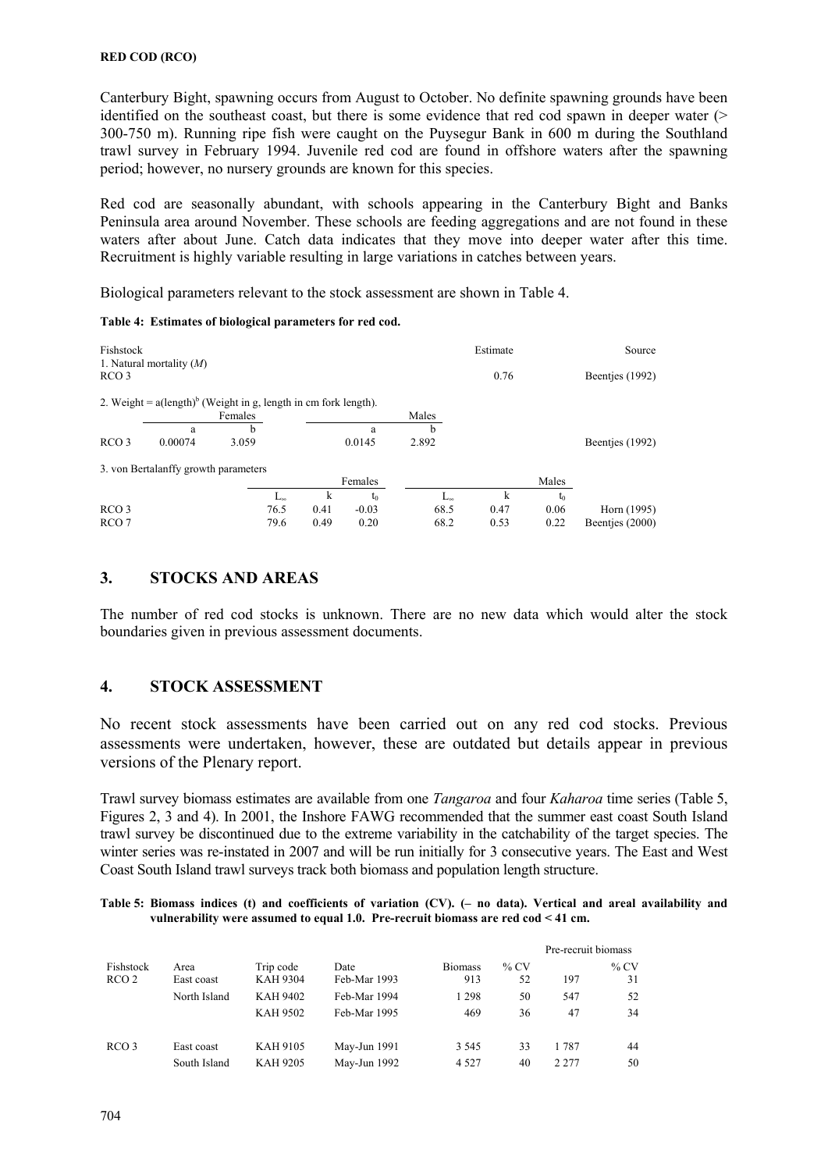Canterbury Bight, spawning occurs from August to October. No definite spawning grounds have been identified on the southeast coast, but there is some evidence that red cod spawn in deeper water  $($ 300-750 m). Running ripe fish were caught on the Puysegur Bank in 600 m during the Southland trawl survey in February 1994. Juvenile red cod are found in offshore waters after the spawning period; however, no nursery grounds are known for this species.

Red cod are seasonally abundant, with schools appearing in the Canterbury Bight and Banks Peninsula area around November. These schools are feeding aggregations and are not found in these waters after about June. Catch data indicates that they move into deeper water after this time. Recruitment is highly variable resulting in large variations in catches between years.

Biological parameters relevant to the stock assessment are shown in Table 4.

| Fishstock<br>RCO <sub>3</sub> | 1. Natural mortality $(M)$                                                |         |              |      |         |              | Estimate<br>0.76 |       | Source<br>Beentjes (1992) |
|-------------------------------|---------------------------------------------------------------------------|---------|--------------|------|---------|--------------|------------------|-------|---------------------------|
|                               | 2. Weight = $a(\text{length})^b$ (Weight in g, length in cm fork length). |         |              |      |         |              |                  |       |                           |
|                               |                                                                           | Females |              |      |         | Males        |                  |       |                           |
|                               | a                                                                         | b       |              |      | a       | b            |                  |       |                           |
| RCO <sub>3</sub>              | 0.00074                                                                   | 3.059   |              |      | 0.0145  | 2.892        |                  |       | Beentjes (1992)           |
|                               | 3. von Bertalanffy growth parameters                                      |         |              |      |         |              |                  |       |                           |
|                               |                                                                           |         |              |      | Females |              |                  | Males |                           |
|                               |                                                                           |         | $L_{\infty}$ | k    | to      | $L_{\infty}$ | k                | to    |                           |
| RCO <sub>3</sub>              |                                                                           |         | 76.5         | 0.41 | $-0.03$ | 68.5         | 0.47             | 0.06  | Horn (1995)               |
| RCO <sub>7</sub>              |                                                                           |         | 79.6         | 0.49 | 0.20    | 68.2         | 0.53             | 0.22  | Beentjes (2000)           |

**Table 4: Estimates of biological parameters for red cod.** 

## **3. STOCKS AND AREAS**

The number of red cod stocks is unknown. There are no new data which would alter the stock boundaries given in previous assessment documents.

## **4. STOCK ASSESSMENT**

No recent stock assessments have been carried out on any red cod stocks. Previous assessments were undertaken, however, these are outdated but details appear in previous versions of the Plenary report.

Trawl survey biomass estimates are available from one *Tangaroa* and four *Kaharoa* time series (Table 5, Figures 2, 3 and 4). In 2001, the Inshore FAWG recommended that the summer east coast South Island trawl survey be discontinued due to the extreme variability in the catchability of the target species. The winter series was re-instated in 2007 and will be run initially for 3 consecutive years. The East and West Coast South Island trawl surveys track both biomass and population length structure.

**Table 5: Biomass indices (t) and coefficients of variation (CV). (– no data). Vertical and areal availability and vulnerability were assumed to equal 1.0. Pre-recruit biomass are red cod < 41 cm.** 

|                  |              |                                    |                              |                |          | Pre-recruit biomass |          |
|------------------|--------------|------------------------------------|------------------------------|----------------|----------|---------------------|----------|
| Fishstock        | Area         | Trip code                          | Date                         | <b>Biomass</b> | $\%$ CV  | 197                 | $%$ CV   |
| RCO 2            | East coast   | <b>KAH 9304</b>                    | Feb-Mar 1993                 | 913            | 52       |                     | 31       |
|                  | North Island | <b>KAH 9402</b><br><b>KAH 9502</b> | Feb-Mar 1994<br>Feb-Mar 1995 | 1 2 9 8<br>469 | 50<br>36 | 547<br>47           | 52<br>34 |
| RCO <sub>3</sub> | East coast   | KAH 9105                           | May-Jun 1991                 | 3 5 4 5        | 33       | 1 787               | 44       |
|                  | South Island | <b>KAH 9205</b>                    | May-Jun 1992                 | 4 5 2 7        | 40       | 2.277               | 50       |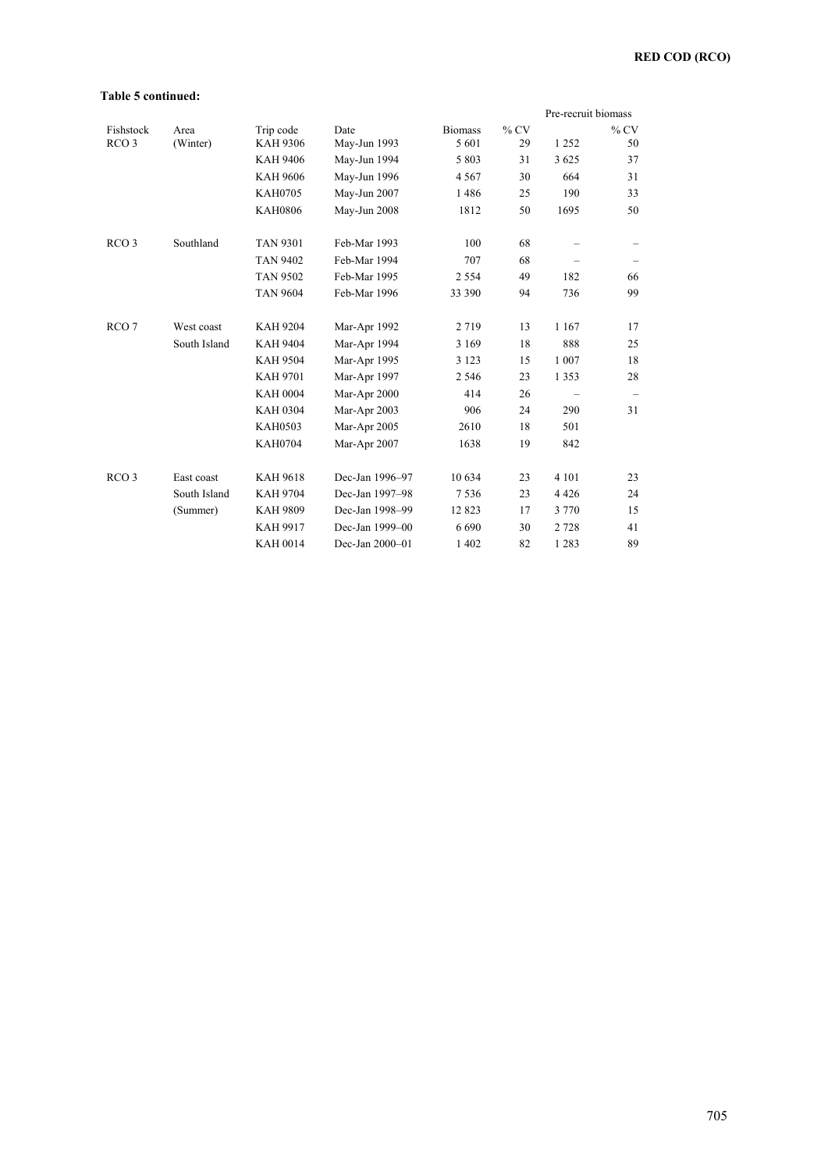#### **Table 5 continued:**

|                  |              |                 |                 |                |        | Pre-recruit biomass |        |
|------------------|--------------|-----------------|-----------------|----------------|--------|---------------------|--------|
| Fishstock        | Area         | Trip code       | Date            | <b>Biomass</b> | $%$ CV |                     | $%$ CV |
| RCO <sub>3</sub> | (Winter)     | <b>KAH 9306</b> | May-Jun 1993    | 5 601          | 29     | 1 2 5 2             | 50     |
|                  |              | <b>KAH 9406</b> | May-Jun 1994    | 5 8 0 3        | 31     | 3 6 2 5             | 37     |
|                  |              | <b>KAH 9606</b> | May-Jun 1996    | 4 5 6 7        | 30     | 664                 | 31     |
|                  |              | <b>KAH0705</b>  | May-Jun 2007    | 1486           | 25     | 190                 | 33     |
|                  |              | <b>KAH0806</b>  | May-Jun 2008    | 1812           | 50     | 1695                | 50     |
| RCO <sub>3</sub> | Southland    | <b>TAN 9301</b> | Feb-Mar 1993    | 100            | 68     |                     |        |
|                  |              | <b>TAN 9402</b> | Feb-Mar 1994    | 707            | 68     |                     |        |
|                  |              | <b>TAN 9502</b> | Feb-Mar 1995    | 2 5 5 4        | 49     | 182                 | 66     |
|                  |              | <b>TAN 9604</b> | Feb-Mar 1996    | 33 390         | 94     | 736                 | 99     |
| RCO <sub>7</sub> | West coast   | <b>KAH 9204</b> | Mar-Apr 1992    | 2719           | 13     | 1 1 6 7             | 17     |
|                  | South Island | <b>KAH 9404</b> | Mar-Apr 1994    | 3 1 6 9        | 18     | 888                 | 25     |
|                  |              | <b>KAH 9504</b> | Mar-Apr 1995    | 3 1 2 3        | 15     | 1 0 0 7             | 18     |
|                  |              | <b>KAH 9701</b> | Mar-Apr 1997    | 2 5 4 6        | 23     | 1 3 5 3             | 28     |
|                  |              | <b>KAH 0004</b> | Mar-Apr 2000    | 414            | 26     |                     | -      |
|                  |              | <b>KAH 0304</b> | Mar-Apr 2003    | 906            | 24     | 290                 | 31     |
|                  |              | <b>KAH0503</b>  | Mar-Apr 2005    | 2610           | 18     | 501                 |        |
|                  |              | <b>KAH0704</b>  | Mar-Apr 2007    | 1638           | 19     | 842                 |        |
| RCO <sub>3</sub> | East coast   | <b>KAH 9618</b> | Dec-Jan 1996-97 | 10 634         | 23     | 4 1 0 1             | 23     |
|                  | South Island | <b>KAH 9704</b> | Dec-Jan 1997-98 | 7536           | 23     | 4426                | 24     |
|                  | (Summer)     | <b>KAH 9809</b> | Dec-Jan 1998-99 | 12823          | 17     | 3 7 7 0             | 15     |
|                  |              | <b>KAH 9917</b> | Dec-Jan 1999-00 | 6690           | 30     | 2 7 2 8             | 41     |
|                  |              | <b>KAH 0014</b> | Dec-Jan 2000-01 | 1 4 0 2        | 82     | 1 2 8 3             | 89     |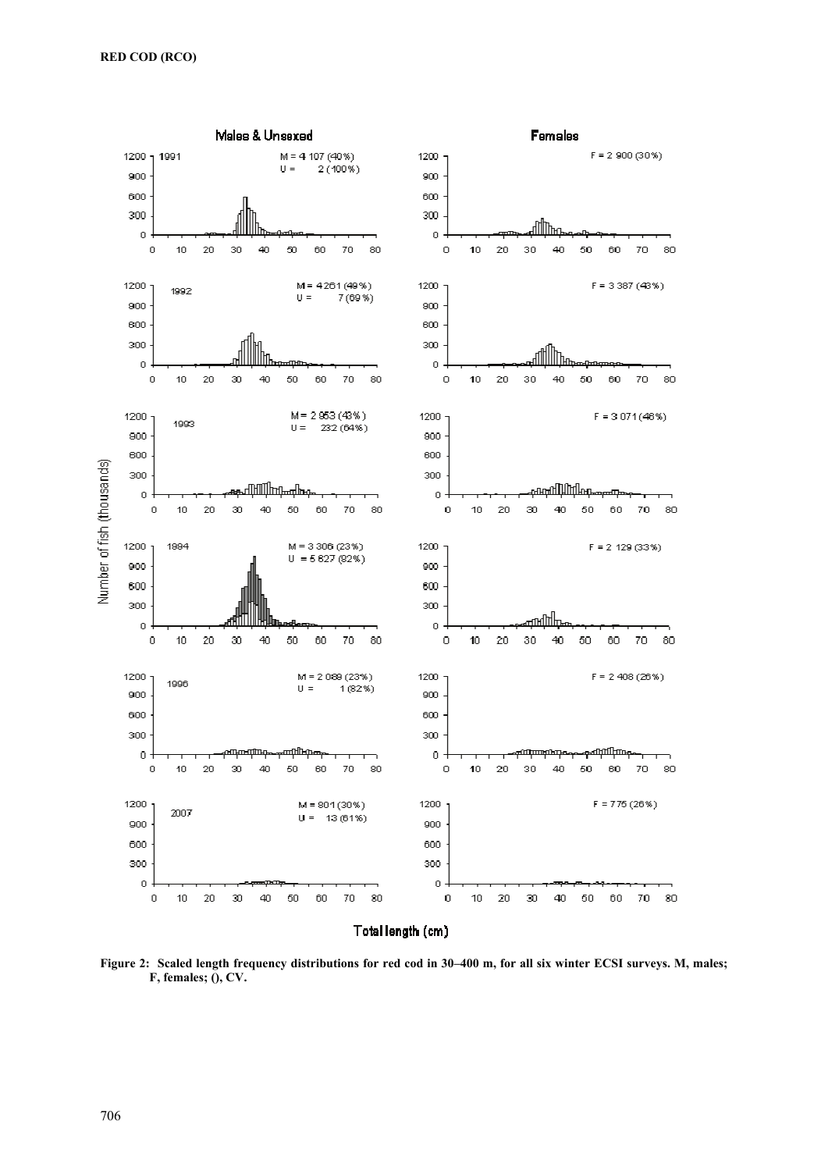

**Figure 2: Scaled length frequency distributions for red cod in 30–400 m, for all six winter ECSI surveys. M, males; F, females; (), CV.**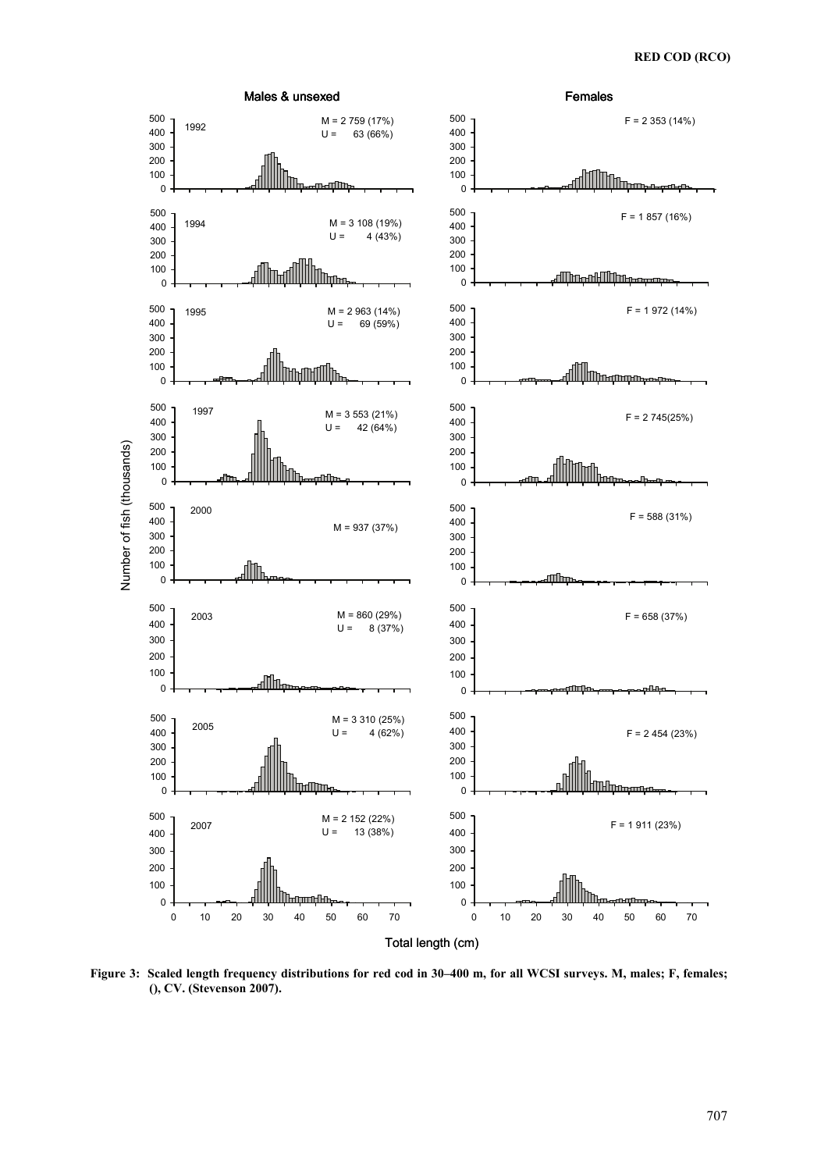

**Figure 3: Scaled length frequency distributions for red cod in 30–400 m, for all WCSI surveys. M, males; F, females; (), CV. (Stevenson 2007).**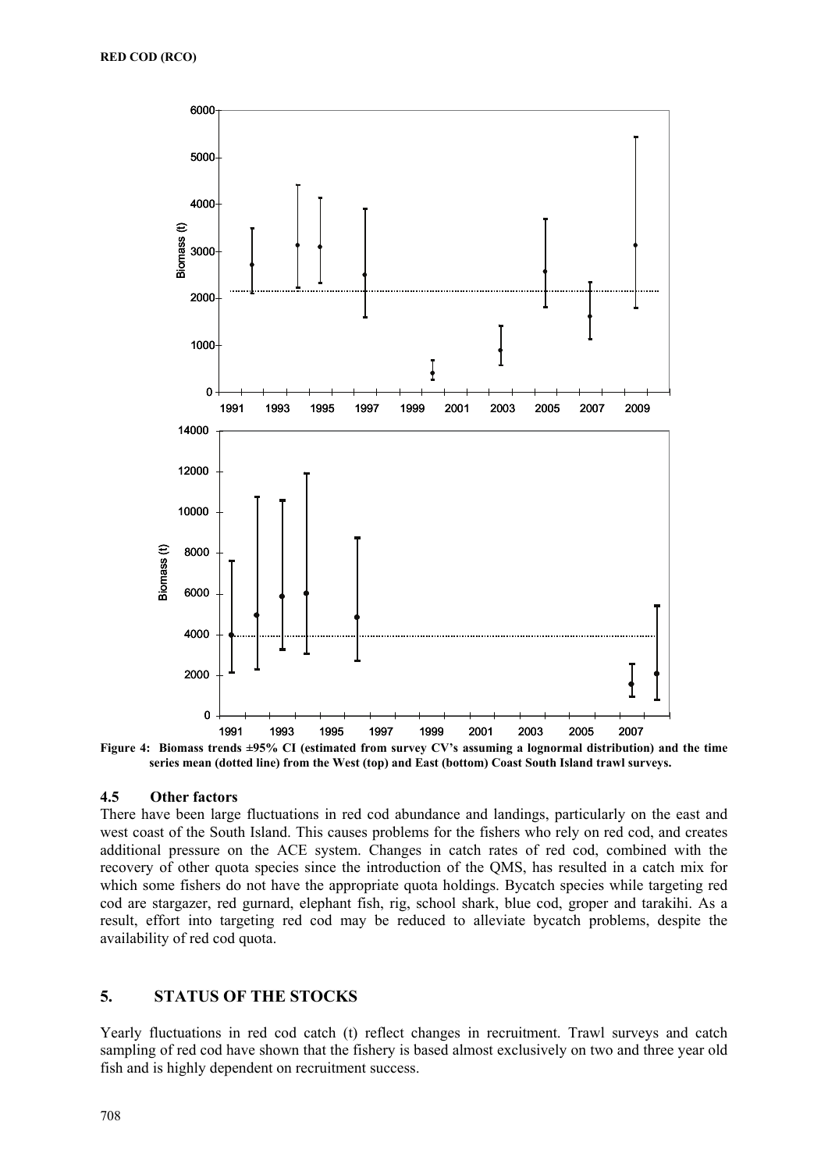

**Figure 4: Biomass trends ±95% CI (estimated from survey CV's assuming a lognormal distribution) and the time series mean (dotted line) from the West (top) and East (bottom) Coast South Island trawl surveys.** 

#### **4.5 Other factors**

There have been large fluctuations in red cod abundance and landings, particularly on the east and west coast of the South Island. This causes problems for the fishers who rely on red cod, and creates additional pressure on the ACE system. Changes in catch rates of red cod, combined with the recovery of other quota species since the introduction of the QMS, has resulted in a catch mix for which some fishers do not have the appropriate quota holdings. Bycatch species while targeting red cod are stargazer, red gurnard, elephant fish, rig, school shark, blue cod, groper and tarakihi. As a result, effort into targeting red cod may be reduced to alleviate bycatch problems, despite the availability of red cod quota.

## **5. STATUS OF THE STOCKS**

Yearly fluctuations in red cod catch (t) reflect changes in recruitment. Trawl surveys and catch sampling of red cod have shown that the fishery is based almost exclusively on two and three year old fish and is highly dependent on recruitment success.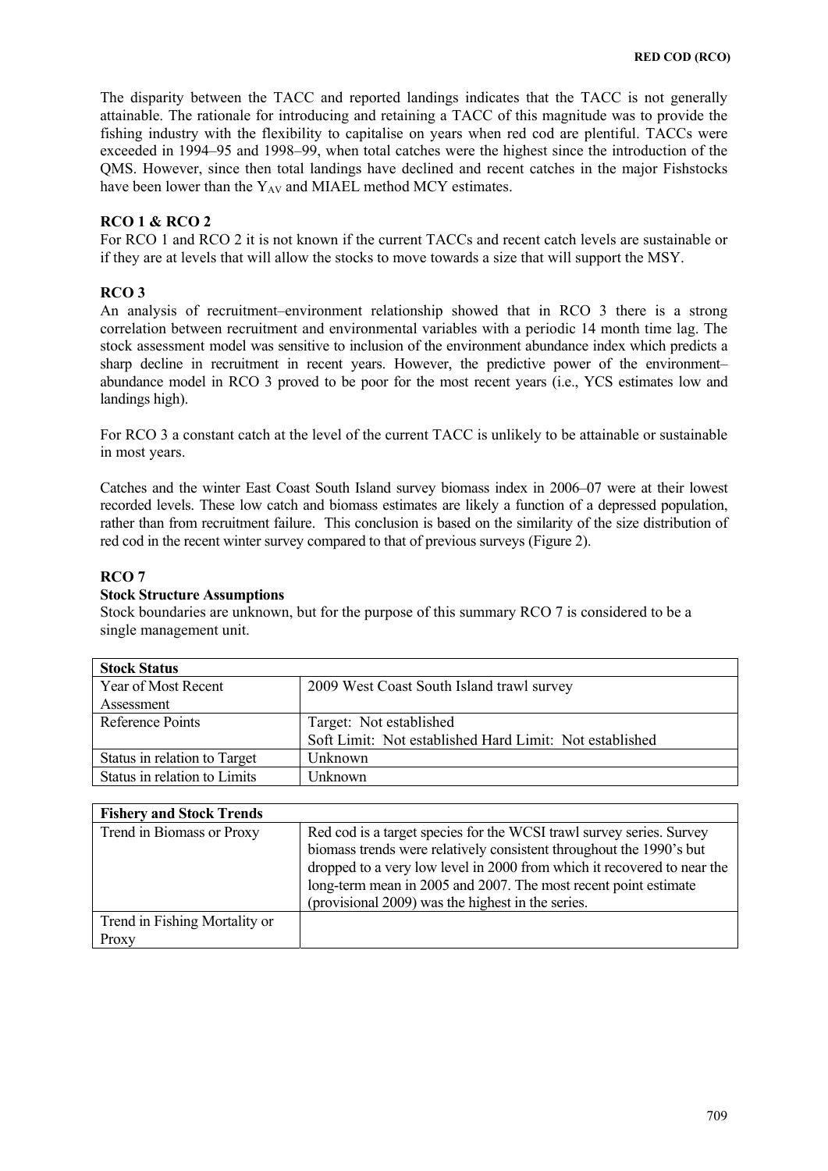The disparity between the TACC and reported landings indicates that the TACC is not generally attainable. The rationale for introducing and retaining a TACC of this magnitude was to provide the fishing industry with the flexibility to capitalise on years when red cod are plentiful. TACCs were exceeded in 1994–95 and 1998–99, when total catches were the highest since the introduction of the QMS. However, since then total landings have declined and recent catches in the major Fishstocks have been lower than the  $Y_{AV}$  and MIAEL method MCY estimates.

## **RCO 1 & RCO 2**

For RCO 1 and RCO 2 it is not known if the current TACCs and recent catch levels are sustainable or if they are at levels that will allow the stocks to move towards a size that will support the MSY.

## **RCO 3**

An analysis of recruitment–environment relationship showed that in RCO 3 there is a strong correlation between recruitment and environmental variables with a periodic 14 month time lag. The stock assessment model was sensitive to inclusion of the environment abundance index which predicts a sharp decline in recruitment in recent years. However, the predictive power of the environment– abundance model in RCO 3 proved to be poor for the most recent years (i.e., YCS estimates low and landings high).

For RCO 3 a constant catch at the level of the current TACC is unlikely to be attainable or sustainable in most years.

Catches and the winter East Coast South Island survey biomass index in 2006–07 were at their lowest recorded levels. These low catch and biomass estimates are likely a function of a depressed population, rather than from recruitment failure. This conclusion is based on the similarity of the size distribution of red cod in the recent winter survey compared to that of previous surveys (Figure 2).

## **RCO 7**

#### **Stock Structure Assumptions**

Stock boundaries are unknown, but for the purpose of this summary RCO 7 is considered to be a single management unit.

| <b>Stock Status</b>          |                                                         |
|------------------------------|---------------------------------------------------------|
| Year of Most Recent          | 2009 West Coast South Island trawl survey               |
| Assessment                   |                                                         |
| Reference Points             | Target: Not established                                 |
|                              | Soft Limit: Not established Hard Limit: Not established |
| Status in relation to Target | Unknown                                                 |
| Status in relation to Limits | Unknown                                                 |

| <b>Fishery and Stock Trends</b> |                                                                                                                                                                                                                        |
|---------------------------------|------------------------------------------------------------------------------------------------------------------------------------------------------------------------------------------------------------------------|
| Trend in Biomass or Proxy       | Red cod is a target species for the WCSI trawl survey series. Survey<br>biomass trends were relatively consistent throughout the 1990's but<br>dropped to a very low level in 2000 from which it recovered to near the |
|                                 | long-term mean in 2005 and 2007. The most recent point estimate<br>(provisional 2009) was the highest in the series.                                                                                                   |
| Trend in Fishing Mortality or   |                                                                                                                                                                                                                        |
| Proxy                           |                                                                                                                                                                                                                        |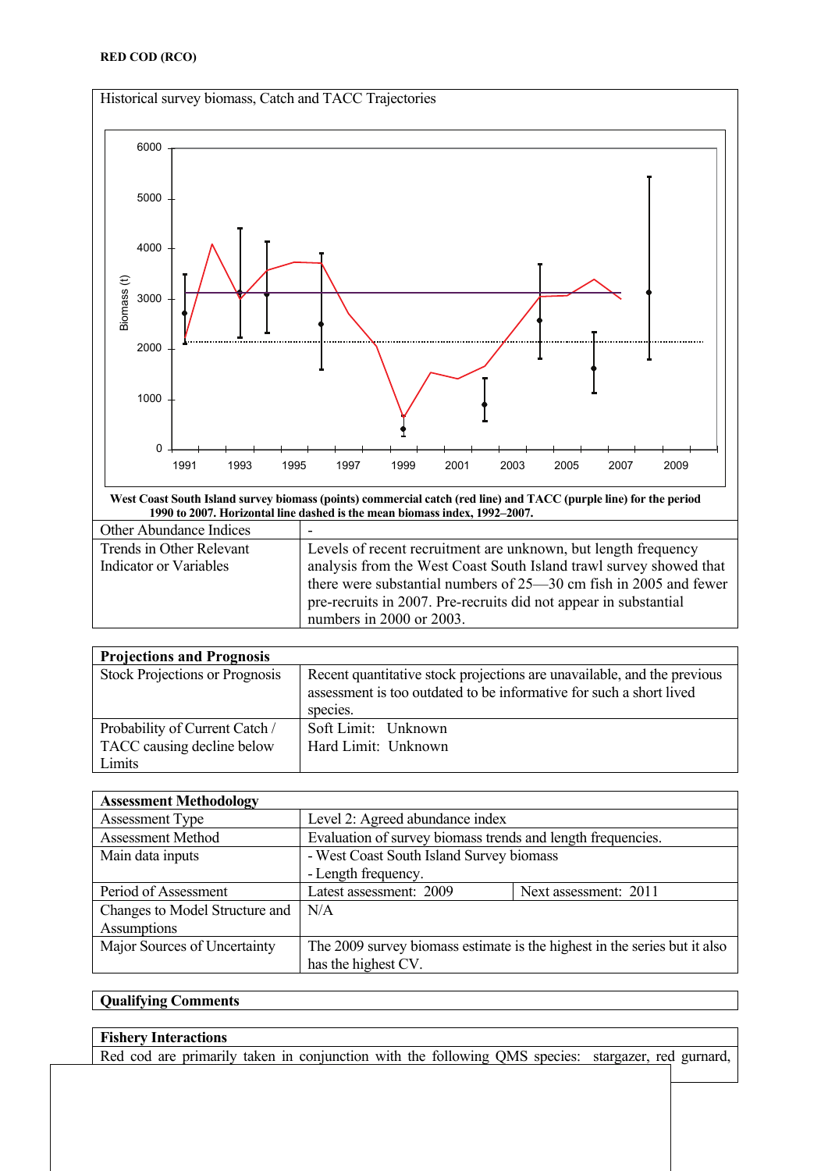

**West Coast South Island survey biomass (points) commercial catch (red line) and TACC (purple line) for the period 1990 to 2007. Horizontal line dashed is the mean biomass index, 1992–2007.** 

| Other Abundance Indices       | -                                                                  |
|-------------------------------|--------------------------------------------------------------------|
| Trends in Other Relevant      | Levels of recent recruitment are unknown, but length frequency     |
| <b>Indicator or Variables</b> | analysis from the West Coast South Island trawl survey showed that |
|                               | there were substantial numbers of 25-30 cm fish in 2005 and fewer  |
|                               | pre-recruits in 2007. Pre-recruits did not appear in substantial   |
|                               | numbers in 2000 or 2003.                                           |

| <b>Projections and Prognosis</b>      |                                                                                                                                                            |
|---------------------------------------|------------------------------------------------------------------------------------------------------------------------------------------------------------|
| <b>Stock Projections or Prognosis</b> | Recent quantitative stock projections are unavailable, and the previous<br>assessment is too outdated to be informative for such a short lived<br>species. |
| Probability of Current Catch /        | Soft Limit: Unknown                                                                                                                                        |
| TACC causing decline below            | Hard Limit: Unknown                                                                                                                                        |
| Limits                                |                                                                                                                                                            |

| <b>Assessment Methodology</b>  |                                                                           |                       |  |  |  |
|--------------------------------|---------------------------------------------------------------------------|-----------------------|--|--|--|
| <b>Assessment Type</b>         | Level 2: Agreed abundance index                                           |                       |  |  |  |
| <b>Assessment Method</b>       | Evaluation of survey biomass trends and length frequencies.               |                       |  |  |  |
| Main data inputs               | - West Coast South Island Survey biomass                                  |                       |  |  |  |
|                                | - Length frequency.                                                       |                       |  |  |  |
| Period of Assessment           | Latest assessment: 2009                                                   | Next assessment: 2011 |  |  |  |
| Changes to Model Structure and | N/A                                                                       |                       |  |  |  |
| Assumptions                    |                                                                           |                       |  |  |  |
| Major Sources of Uncertainty   | The 2009 survey biomass estimate is the highest in the series but it also |                       |  |  |  |
|                                | has the highest CV.                                                       |                       |  |  |  |

# **Qualifying Comments**

## **Fishery Interactions**

Red cod are primarily taken in conjunction with the following QMS species: stargazer, red gurnard,